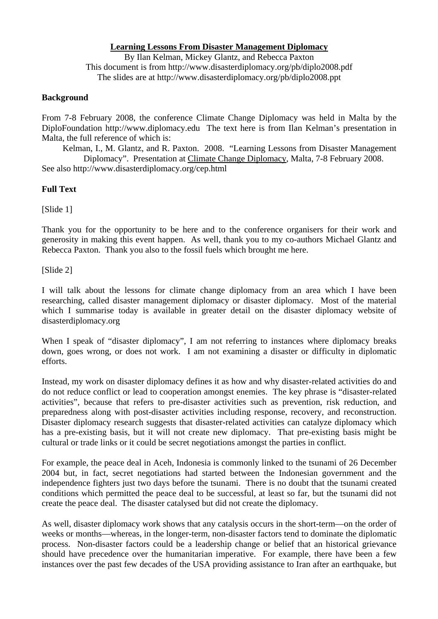## **Learning Lessons From Disaster Management Diplomacy**

By Ilan Kelman, Mickey Glantz, and Rebecca Paxton This document is from http://www.disasterdiplomacy.org/pb/diplo2008.pdf The slides are at http://www.disasterdiplomacy.org/pb/diplo2008.ppt

## **Background**

From 7-8 February 2008, the conference Climate Change Diplomacy was held in Malta by the DiploFoundation http://www.diplomacy.edu The text here is from Ilan Kelman's presentation in Malta, the full reference of which is:

Kelman, I., M. Glantz, and R. Paxton. 2008. "Learning Lessons from Disaster Management Diplomacy". Presentation at Climate Change Diplomacy, Malta, 7-8 February 2008. See also http://www.disasterdiplomacy.org/cep.html

## **Full Text**

[Slide 1]

Thank you for the opportunity to be here and to the conference organisers for their work and generosity in making this event happen. As well, thank you to my co-authors Michael Glantz and Rebecca Paxton. Thank you also to the fossil fuels which brought me here.

[Slide 2]

I will talk about the lessons for climate change diplomacy from an area which I have been researching, called disaster management diplomacy or disaster diplomacy. Most of the material which I summarise today is available in greater detail on the disaster diplomacy website of disasterdiplomacy.org

When I speak of "disaster diplomacy", I am not referring to instances where diplomacy breaks down, goes wrong, or does not work. I am not examining a disaster or difficulty in diplomatic efforts.

Instead, my work on disaster diplomacy defines it as how and why disaster-related activities do and do not reduce conflict or lead to cooperation amongst enemies. The key phrase is "disaster-related activities", because that refers to pre-disaster activities such as prevention, risk reduction, and preparedness along with post-disaster activities including response, recovery, and reconstruction. Disaster diplomacy research suggests that disaster-related activities can catalyze diplomacy which has a pre-existing basis, but it will not create new diplomacy. That pre-existing basis might be cultural or trade links or it could be secret negotiations amongst the parties in conflict.

For example, the peace deal in Aceh, Indonesia is commonly linked to the tsunami of 26 December 2004 but, in fact, secret negotiations had started between the Indonesian government and the independence fighters just two days before the tsunami. There is no doubt that the tsunami created conditions which permitted the peace deal to be successful, at least so far, but the tsunami did not create the peace deal. The disaster catalysed but did not create the diplomacy.

As well, disaster diplomacy work shows that any catalysis occurs in the short-term—on the order of weeks or months—whereas, in the longer-term, non-disaster factors tend to dominate the diplomatic process. Non-disaster factors could be a leadership change or belief that an historical grievance should have precedence over the humanitarian imperative. For example, there have been a few instances over the past few decades of the USA providing assistance to Iran after an earthquake, but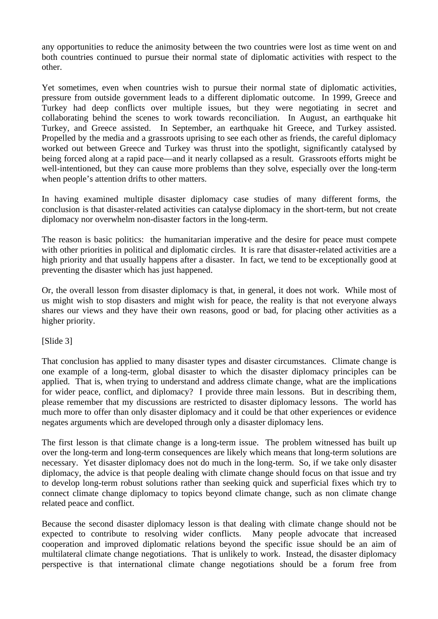any opportunities to reduce the animosity between the two countries were lost as time went on and both countries continued to pursue their normal state of diplomatic activities with respect to the other.

Yet sometimes, even when countries wish to pursue their normal state of diplomatic activities, pressure from outside government leads to a different diplomatic outcome. In 1999, Greece and Turkey had deep conflicts over multiple issues, but they were negotiating in secret and collaborating behind the scenes to work towards reconciliation. In August, an earthquake hit Turkey, and Greece assisted. In September, an earthquake hit Greece, and Turkey assisted. Propelled by the media and a grassroots uprising to see each other as friends, the careful diplomacy worked out between Greece and Turkey was thrust into the spotlight, significantly catalysed by being forced along at a rapid pace—and it nearly collapsed as a result. Grassroots efforts might be well-intentioned, but they can cause more problems than they solve, especially over the long-term when people's attention drifts to other matters.

In having examined multiple disaster diplomacy case studies of many different forms, the conclusion is that disaster-related activities can catalyse diplomacy in the short-term, but not create diplomacy nor overwhelm non-disaster factors in the long-term.

The reason is basic politics: the humanitarian imperative and the desire for peace must compete with other priorities in political and diplomatic circles. It is rare that disaster-related activities are a high priority and that usually happens after a disaster. In fact, we tend to be exceptionally good at preventing the disaster which has just happened.

Or, the overall lesson from disaster diplomacy is that, in general, it does not work. While most of us might wish to stop disasters and might wish for peace, the reality is that not everyone always shares our views and they have their own reasons, good or bad, for placing other activities as a higher priority.

[Slide 3]

That conclusion has applied to many disaster types and disaster circumstances. Climate change is one example of a long-term, global disaster to which the disaster diplomacy principles can be applied. That is, when trying to understand and address climate change, what are the implications for wider peace, conflict, and diplomacy? I provide three main lessons. But in describing them, please remember that my discussions are restricted to disaster diplomacy lessons. The world has much more to offer than only disaster diplomacy and it could be that other experiences or evidence negates arguments which are developed through only a disaster diplomacy lens.

The first lesson is that climate change is a long-term issue. The problem witnessed has built up over the long-term and long-term consequences are likely which means that long-term solutions are necessary. Yet disaster diplomacy does not do much in the long-term. So, if we take only disaster diplomacy, the advice is that people dealing with climate change should focus on that issue and try to develop long-term robust solutions rather than seeking quick and superficial fixes which try to connect climate change diplomacy to topics beyond climate change, such as non climate change related peace and conflict.

Because the second disaster diplomacy lesson is that dealing with climate change should not be expected to contribute to resolving wider conflicts. Many people advocate that increased cooperation and improved diplomatic relations beyond the specific issue should be an aim of multilateral climate change negotiations. That is unlikely to work. Instead, the disaster diplomacy perspective is that international climate change negotiations should be a forum free from